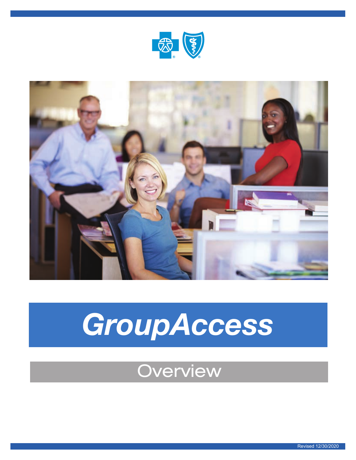



# *GroupAccess*

## **Overview**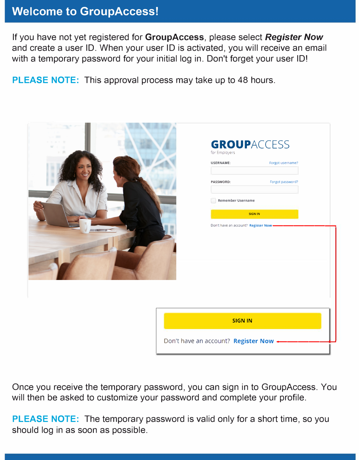### **Welcome to GroupAccess!**

If you have not yet registered for **GroupAccess,** please select *Register Now*  and create a user ID. When your user ID is activated, you will receive an email with a temporary password for your initial log in. Don't forget your user ID!

**PLEASE NOTE:** This approval process may take up to 48 hours.

| .<br>$\sim$ 10<br>$\cdots$ | <b>GROUPACCESS</b><br>for Employers<br><b>USERNAME:</b><br>Forgot username?<br>Forgot password?<br>PASSWORD: |
|----------------------------|--------------------------------------------------------------------------------------------------------------|
|                            | Remember Username<br><b>SIGN IN</b><br>Don't have an account? Register Now -                                 |
|                            | <b>SIGN IN</b>                                                                                               |
|                            | Don't have an account? Register Now -                                                                        |

Once you receive the temporary password, you can sign in to GroupAccess. You will then be asked to customize your password and complete your profile.

**PLEASE NOTE:** The temporary password is valid only for a short time, so you should log in as soon as possible.